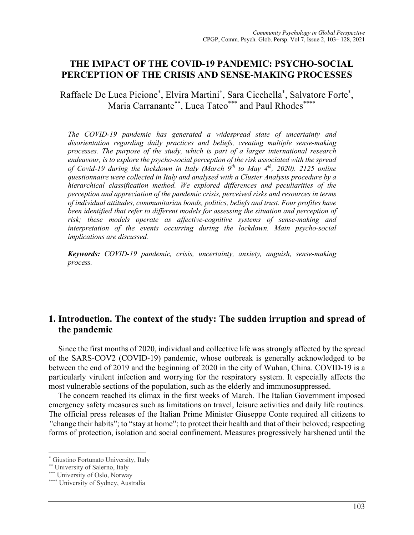# **THE IMPACT OF THE COVID-19 PANDEMIC: PSYCHO-SOCIAL PERCEPTION OF THE CRISIS AND SENSE-MAKING PROCESSES**

Raffaele De Luca Picione\*, Elvira Martini\*, Sara Cicchella\*, Salvatore Forte\*, Maria Carranante\*\*, Luca Tateo\*\*\* and Paul Rhodes\*\*\*\*

*The COVID-19 pandemic has generated a widespread state of uncertainty and disorientation regarding daily practices and beliefs, creating multiple sense-making processes. The purpose of the study, which is part of a larger international research endeavour, is to explore the psycho-social perception of the risk associated with the spread of Covid-19 during the lockdown in Italy (March 9th to May 4th, 2020). 2125 online questionnaire were collected in Italy and analysed with a Cluster Analysis procedure by a hierarchical classification method. We explored differences and peculiarities of the perception and appreciation of the pandemic crisis, perceived risks and resources in terms of individual attitudes, communitarian bonds, politics, beliefs and trust. Four profiles have been identified that refer to different models for assessing the situation and perception of risk; these models operate as affective-cognitive systems of sense-making and interpretation of the events occurring during the lockdown. Main psycho-social implications are discussed.*

*Keywords: COVID-19 pandemic, crisis, uncertainty, anxiety, anguish, sense-making process.*

# **1. Introduction. The context of the study: The sudden irruption and spread of the pandemic**

Since the first months of 2020, individual and collective life was strongly affected by the spread of the SARS-COV2 (COVID-19) pandemic, whose outbreak is generally acknowledged to be between the end of 2019 and the beginning of 2020 in the city of Wuhan, China. COVID-19 is a particularly virulent infection and worrying for the respiratory system. It especially affects the most vulnerable sections of the population, such as the elderly and immunosuppressed.

The concern reached its climax in the first weeks of March. The Italian Government imposed emergency safety measures such as limitations on travel, leisure activities and daily life routines. The official press releases of the Italian Prime Minister Giuseppe Conte required all citizens to *"*change their habits"; to "stay at home"; to protect their health and that of their beloved; respecting forms of protection, isolation and social confinement. Measures progressively harshened until the

<sup>\*</sup> Giustino Fortunato University, Italy

<sup>\*\*</sup> University of Salerno, Italy

<sup>\*\*\*</sup> University of Oslo, Norway

<sup>\*\*\*\*</sup> University of Sydney, Australia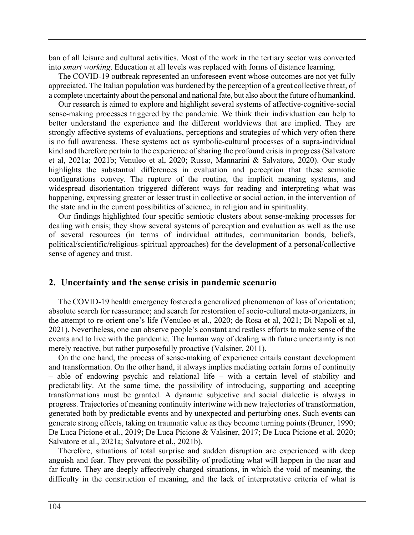ban of all leisure and cultural activities. Most of the work in the tertiary sector was converted into *smart working*. Education at all levels was replaced with forms of distance learning.

The COVID-19 outbreak represented an unforeseen event whose outcomes are not yet fully appreciated. The Italian population was burdened by the perception of a great collective threat, of a complete uncertainty about the personal and national fate, but also about the future of humankind.

Our research is aimed to explore and highlight several systems of affective-cognitive-social sense-making processes triggered by the pandemic. We think their individuation can help to better understand the experience and the different worldviews that are implied. They are strongly affective systems of evaluations, perceptions and strategies of which very often there is no full awareness. These systems act as symbolic-cultural processes of a supra-individual kind and therefore pertain to the experience of sharing the profound crisis in progress (Salvatore et al, 2021a; 2021b; Venuleo et al, 2020; Russo, Mannarini & Salvatore, 2020). Our study highlights the substantial differences in evaluation and perception that these semiotic configurations convey. The rupture of the routine, the implicit meaning systems, and widespread disorientation triggered different ways for reading and interpreting what was happening, expressing greater or lesser trust in collective or social action, in the intervention of the state and in the current possibilities of science, in religion and in spirituality.

Our findings highlighted four specific semiotic clusters about sense-making processes for dealing with crisis; they show several systems of perception and evaluation as well as the use of several resources (in terms of individual attitudes, communitarian bonds, beliefs, political/scientific/religious-spiritual approaches) for the development of a personal/collective sense of agency and trust.

#### **2. Uncertainty and the sense crisis in pandemic scenario**

The COVID-19 health emergency fostered a generalized phenomenon of loss of orientation; absolute search for reassurance; and search for restoration of socio-cultural meta-organizers, in the attempt to re-orient one's life (Venuleo et al., 2020; de Rosa et al, 2021; Di Napoli et al, 2021). Nevertheless, one can observe people's constant and restless efforts to make sense of the events and to live with the pandemic. The human way of dealing with future uncertainty is not merely reactive, but rather purposefully proactive (Valsiner, 2011).

On the one hand, the process of sense-making of experience entails constant development and transformation. On the other hand, it always implies mediating certain forms of continuity – able of endowing psychic and relational life – with a certain level of stability and predictability. At the same time, the possibility of introducing, supporting and accepting transformations must be granted. A dynamic subjective and social dialectic is always in progress. Trajectories of meaning continuity intertwine with new trajectories of transformation, generated both by predictable events and by unexpected and perturbing ones. Such events can generate strong effects, taking on traumatic value as they become turning points (Bruner, 1990; De Luca Picione et al., 2019; De Luca Picione & Valsiner, 2017; De Luca Picione et al. 2020; Salvatore et al., 2021a; Salvatore et al., 2021b).

Therefore, situations of total surprise and sudden disruption are experienced with deep anguish and fear. They prevent the possibility of predicting what will happen in the near and far future. They are deeply affectively charged situations, in which the void of meaning, the difficulty in the construction of meaning, and the lack of interpretative criteria of what is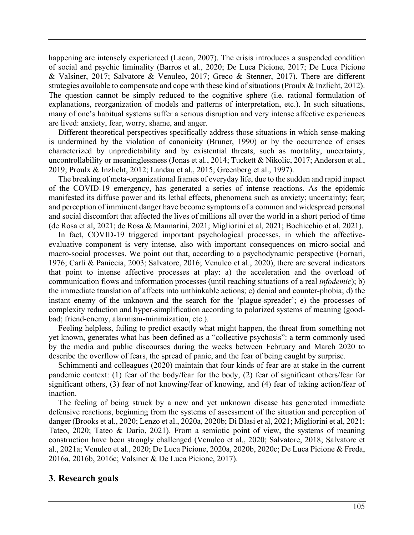happening are intensely experienced (Lacan, 2007). The crisis introduces a suspended condition of social and psychic liminality (Barros et al., 2020; De Luca Picione, 2017; De Luca Picione & Valsiner, 2017; Salvatore & Venuleo, 2017; Greco & Stenner, 2017). There are different strategies available to compensate and cope with these kind of situations (Proulx & Inzlicht, 2012). The question cannot be simply reduced to the cognitive sphere (i.e. rational formulation of explanations, reorganization of models and patterns of interpretation, etc.). In such situations, many of one's habitual systems suffer a serious disruption and very intense affective experiences are lived: anxiety, fear, worry, shame, and anger.

Different theoretical perspectives specifically address those situations in which sense-making is undermined by the violation of canonicity (Bruner, 1990) or by the occurrence of crises characterized by unpredictability and by existential threats, such as mortality, uncertainty, uncontrollability or meaninglessness (Jonas et al., 2014; Tuckett & Nikolic, 2017; Anderson et al., 2019; Proulx & Inzlicht, 2012; Landau et al., 2015; Greenberg et al., 1997).

The breaking of meta-organizational frames of everyday life, due to the sudden and rapid impact of the COVID-19 emergency, has generated a series of intense reactions. As the epidemic manifested its diffuse power and its lethal effects, phenomena such as anxiety; uncertainty; fear; and perception of imminent danger have become symptoms of a common and widespread personal and social discomfort that affected the lives of millions all over the world in a short period of time (de Rosa et al, 2021; de Rosa & Mannarini, 2021; Migliorini et al, 2021; Bochicchio et al, 2021).

In fact, COVID-19 triggered important psychological processes, in which the affectiveevaluative component is very intense, also with important consequences on micro-social and macro-social processes. We point out that, according to a psychodynamic perspective (Fornari, 1976; Carli & Paniccia, 2003; Salvatore, 2016; Venuleo et al., 2020), there are several indicators that point to intense affective processes at play: a) the acceleration and the overload of communication flows and information processes (until reaching situations of a real *infodemic*); b) the immediate translation of affects into unthinkable actions; c) denial and counter-phobia; d) the instant enemy of the unknown and the search for the 'plague-spreader'; e) the processes of complexity reduction and hyper-simplification according to polarized systems of meaning (goodbad; friend-enemy, alarmism-minimization, etc.).

Feeling helpless, failing to predict exactly what might happen, the threat from something not yet known, generates what has been defined as a "collective psychosis": a term commonly used by the media and public discourses during the weeks between February and March 2020 to describe the overflow of fears, the spread of panic, and the fear of being caught by surprise.

Schimmenti and colleagues (2020) maintain that four kinds of fear are at stake in the current pandemic context: (1) fear of the body/fear for the body, (2) fear of significant others/fear for significant others, (3) fear of not knowing/fear of knowing, and (4) fear of taking action/fear of inaction.

The feeling of being struck by a new and yet unknown disease has generated immediate defensive reactions, beginning from the systems of assessment of the situation and perception of danger (Brooks et al., 2020; Lenzo et al., 2020a, 2020b; Di Blasi et al, 2021; Migliorini et al, 2021; Tateo, 2020; Tateo & Dario, 2021). From a semiotic point of view, the systems of meaning construction have been strongly challenged (Venuleo et al., 2020; Salvatore, 2018; Salvatore et al., 2021a; Venuleo et al., 2020; De Luca Picione, 2020a, 2020b, 2020c; De Luca Picione & Freda, 2016a, 2016b, 2016c; Valsiner & De Luca Picione, 2017).

## **3. Research goals**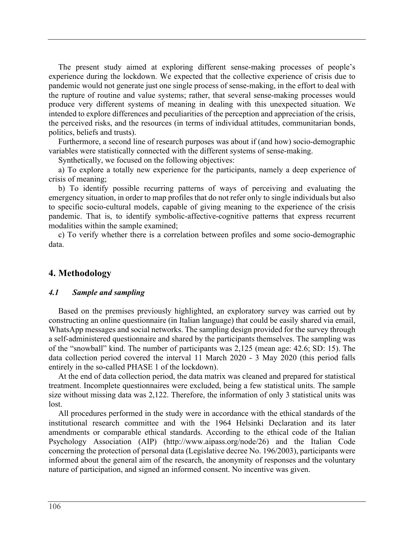The present study aimed at exploring different sense-making processes of people's experience during the lockdown. We expected that the collective experience of crisis due to pandemic would not generate just one single process of sense-making, in the effort to deal with the rupture of routine and value systems; rather, that several sense-making processes would produce very different systems of meaning in dealing with this unexpected situation. We intended to explore differences and peculiarities of the perception and appreciation of the crisis, the perceived risks, and the resources (in terms of individual attitudes, communitarian bonds, politics, beliefs and trusts).

Furthermore, a second line of research purposes was about if (and how) socio-demographic variables were statistically connected with the different systems of sense-making.

Synthetically, we focused on the following objectives:

a) To explore a totally new experience for the participants, namely a deep experience of crisis of meaning;

b) To identify possible recurring patterns of ways of perceiving and evaluating the emergency situation, in order to map profiles that do not refer only to single individuals but also to specific socio-cultural models, capable of giving meaning to the experience of the crisis pandemic. That is, to identify symbolic-affective-cognitive patterns that express recurrent modalities within the sample examined;

c) To verify whether there is a correlation between profiles and some socio-demographic data.

#### **4. Methodology**

#### *4.1 Sample and sampling*

Based on the premises previously highlighted, an exploratory survey was carried out by constructing an online questionnaire (in Italian language) that could be easily shared via email, WhatsApp messages and social networks. The sampling design provided for the survey through a self-administered questionnaire and shared by the participants themselves. The sampling was of the "snowball" kind. The number of participants was 2,125 (mean age: 42.6; SD: 15). The data collection period covered the interval 11 March 2020 - 3 May 2020 (this period falls entirely in the so-called PHASE 1 of the lockdown).

At the end of data collection period, the data matrix was cleaned and prepared for statistical treatment. Incomplete questionnaires were excluded, being a few statistical units. The sample size without missing data was 2,122. Therefore, the information of only 3 statistical units was lost.

All procedures performed in the study were in accordance with the ethical standards of the institutional research committee and with the 1964 Helsinki Declaration and its later amendments or comparable ethical standards. According to the ethical code of the Italian Psychology Association (AIP) (http://www.aipass.org/node/26) and the Italian Code concerning the protection of personal data (Legislative decree No. 196/2003), participants were informed about the general aim of the research, the anonymity of responses and the voluntary nature of participation, and signed an informed consent. No incentive was given.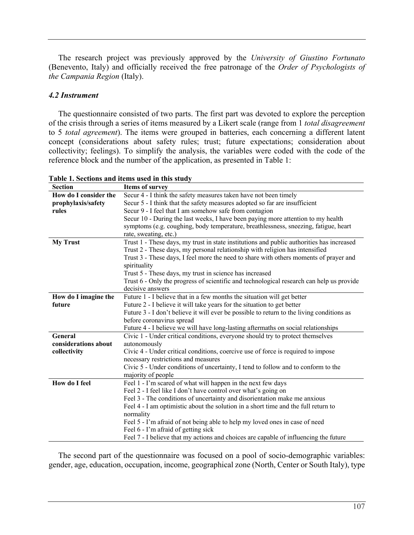The research project was previously approved by the *University of Giustino Fortunato* (Benevento, Italy) and officially received the free patronage of the *Order of Psychologists of the Campania Region* (Italy).

#### *4.2 Instrument*

The questionnaire consisted of two parts. The first part was devoted to explore the perception of the crisis through a series of items measured by a Likert scale (range from 1 *total disagreement* to 5 *total agreement*). The items were grouped in batteries, each concerning a different latent concept (considerations about safety rules; trust; future expectations; consideration about collectivity; feelings). To simplify the analysis, the variables were coded with the code of the reference block and the number of the application, as presented in Table 1:

| <b>Section</b>        | <b>Items of survey</b>                                                                    |
|-----------------------|-------------------------------------------------------------------------------------------|
| How do I consider the | Secur 4 - I think the safety measures taken have not been timely                          |
| prophylaxis/safety    | Secur 5 - I think that the safety measures adopted so far are insufficient                |
| rules                 | Secur 9 - I feel that I am somehow safe from contagion                                    |
|                       | Secur 10 - During the last weeks, I have been paying more attention to my health          |
|                       | symptoms (e.g. coughing, body temperature, breathlessness, sneezing, fatigue, heart       |
|                       | rate, sweating, etc.)                                                                     |
| <b>My Trust</b>       | Trust 1 - These days, my trust in state institutions and public authorities has increased |
|                       | Trust 2 - These days, my personal relationship with religion has intensified              |
|                       | Trust 3 - These days, I feel more the need to share with others moments of prayer and     |
|                       | spirituality                                                                              |
|                       | Trust 5 - These days, my trust in science has increased                                   |
|                       | Trust 6 - Only the progress of scientific and technological research can help us provide  |
|                       | decisive answers                                                                          |
| How do I imagine the  | Future 1 - I believe that in a few months the situation will get better                   |
| future                | Future 2 - I believe it will take years for the situation to get better                   |
|                       | Future 3 - I don't believe it will ever be possible to return to the living conditions as |
|                       | before coronavirus spread                                                                 |
|                       | Future 4 - I believe we will have long-lasting aftermaths on social relationships         |
| General               | Civic 1 - Under critical conditions, everyone should try to protect themselves            |
| considerations about  | autonomously                                                                              |
| collectivity          | Civic 4 - Under critical conditions, coercive use of force is required to impose          |
|                       | necessary restrictions and measures                                                       |
|                       | Civic 5 - Under conditions of uncertainty, I tend to follow and to conform to the         |
|                       | majority of people                                                                        |
| How do I feel         | Feel 1 - I'm scared of what will happen in the next few days                              |
|                       | Feel 2 - I feel like I don't have control over what's going on                            |
|                       | Feel 3 - The conditions of uncertainty and disorientation make me anxious                 |
|                       | Feel 4 - I am optimistic about the solution in a short time and the full return to        |
|                       | normality                                                                                 |
|                       | Feel 5 - I'm afraid of not being able to help my loved ones in case of need               |
|                       | Feel 6 - I'm afraid of getting sick                                                       |
|                       | Feel 7 - I believe that my actions and choices are capable of influencing the future      |

| Table 1. Sections and items used in this study |  |  |  |
|------------------------------------------------|--|--|--|
|------------------------------------------------|--|--|--|

The second part of the questionnaire was focused on a pool of socio-demographic variables: gender, age, education, occupation, income, geographical zone (North, Center or South Italy), type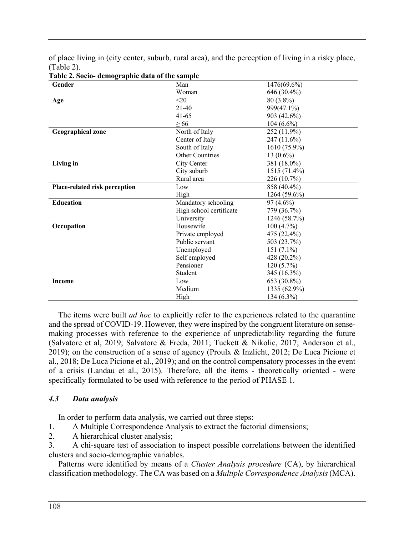of place living in (city center, suburb, rural area), and the perception of living in a risky place, (Table 2).

| rabit 2. Socio- utiliographit uata or the sample |                         |              |  |  |  |
|--------------------------------------------------|-------------------------|--------------|--|--|--|
| Gender                                           | Man                     | 1476(69.6%)  |  |  |  |
|                                                  | Woman                   | 646 (30.4%)  |  |  |  |
| Age                                              | $<$ 20                  | 80 (3.8%)    |  |  |  |
|                                                  | $21-40$                 | 999(47.1%)   |  |  |  |
|                                                  | $41 - 65$               | 903 (42.6%)  |  |  |  |
|                                                  | > 66                    | $104(6.6\%)$ |  |  |  |
| <b>Geographical zone</b>                         | North of Italy          | 252 (11.9%)  |  |  |  |
|                                                  | Center of Italy         | 247 (11.6%)  |  |  |  |
|                                                  | South of Italy          | 1610 (75.9%) |  |  |  |
|                                                  | <b>Other Countries</b>  | 13 $(0.6\%)$ |  |  |  |
| Living in                                        | City Center             | 381 (18.0%)  |  |  |  |
|                                                  | City suburb             | 1515 (71.4%) |  |  |  |
|                                                  | Rural area              | 226 (10.7%)  |  |  |  |
| Place-related risk perception                    | Low                     | 858 (40.4%)  |  |  |  |
|                                                  | High                    | 1264 (59.6%) |  |  |  |
| <b>Education</b>                                 | Mandatory schooling     | $97(4.6\%)$  |  |  |  |
|                                                  | High school certificate | 779 (36.7%)  |  |  |  |
|                                                  | University              | 1246 (58.7%) |  |  |  |
| Occupation                                       | Housewife               | 100(4.7%)    |  |  |  |
|                                                  | Private employed        | 475 (22.4%)  |  |  |  |
|                                                  | Public servant          | 503 (23.7%)  |  |  |  |
|                                                  | Unemployed              | $151(7.1\%)$ |  |  |  |
|                                                  | Self employed           | 428 (20.2%)  |  |  |  |
|                                                  | Pensioner               | $120(5.7\%)$ |  |  |  |
|                                                  | Student                 | 345 (16.3%)  |  |  |  |
| <b>Income</b>                                    | Low                     | 653 (30.8%)  |  |  |  |
|                                                  | Medium                  | 1335 (62.9%) |  |  |  |
|                                                  | High                    | 134 (6.3%)   |  |  |  |

**Table 2. Socio- demographic data of the sample**

The items were built *ad hoc* to explicitly refer to the experiences related to the quarantine and the spread of COVID-19. However, they were inspired by the congruent literature on sensemaking processes with reference to the experience of unpredictability regarding the future (Salvatore et al, 2019; Salvatore & Freda, 2011; Tuckett & Nikolic, 2017; Anderson et al., 2019); on the construction of a sense of agency (Proulx & Inzlicht, 2012; De Luca Picione et al., 2018; De Luca Picione et al., 2019); and on the control compensatory processes in the event of a crisis (Landau et al., 2015). Therefore, all the items - theoretically oriented - were specifically formulated to be used with reference to the period of PHASE 1.

## *4.3 Data analysis*

In order to perform data analysis, we carried out three steps:

- 1. A Multiple Correspondence Analysis to extract the factorial dimensions;
- 2. A hierarchical cluster analysis;

3. A chi-square test of association to inspect possible correlations between the identified clusters and socio-demographic variables.

Patterns were identified by means of a *Cluster Analysis procedure* (CA), by hierarchical classification methodology. The CA was based on a *Multiple Correspondence Analysis* (MCA).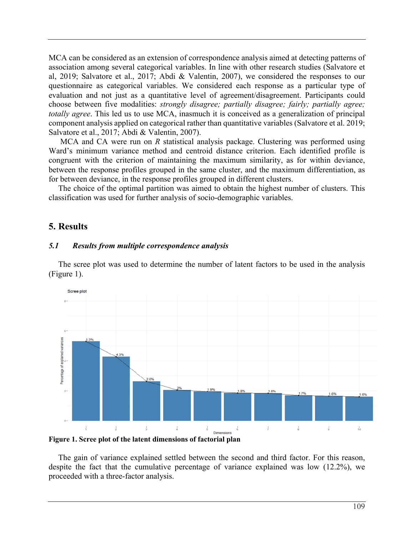MCA can be considered as an extension of correspondence analysis aimed at detecting patterns of association among several categorical variables. In line with other research studies (Salvatore et al, 2019; Salvatore et al., 2017; Abdi & Valentin, 2007), we considered the responses to our questionnaire as categorical variables. We considered each response as a particular type of evaluation and not just as a quantitative level of agreement/disagreement. Participants could choose between five modalities: *strongly disagree; partially disagree; fairly; partially agree; totally agree*. This led us to use MCA, inasmuch it is conceived as a generalization of principal component analysis applied on categorical rather than quantitative variables (Salvatore et al. 2019; Salvatore et al., 2017; Abdi & Valentin, 2007).

MCA and CA were run on *R* statistical analysis package. Clustering was performed using Ward's minimum variance method and centroid distance criterion. Each identified profile is congruent with the criterion of maintaining the maximum similarity, as for within deviance, between the response profiles grouped in the same cluster, and the maximum differentiation, as for between deviance, in the response profiles grouped in different clusters.

The choice of the optimal partition was aimed to obtain the highest number of clusters. This classification was used for further analysis of socio-demographic variables.

# **5. Results**

### *5.1 Results from multiple correspondence analysis*

The scree plot was used to determine the number of latent factors to be used in the analysis (Figure 1).



**Figure 1. Scree plot of the latent dimensions of factorial plan**

The gain of variance explained settled between the second and third factor. For this reason, despite the fact that the cumulative percentage of variance explained was low (12.2%), we proceeded with a three-factor analysis.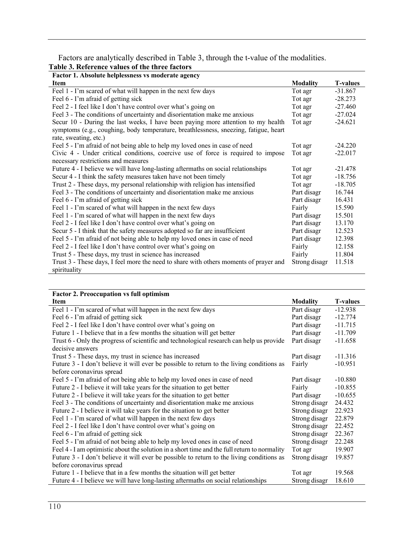Factors are analytically described in Table 3, through the t-value of the modalities.

**Table 3. Reference values of the three factors**

| Factor 1. Absolute helplessness vs moderate agency                                    |                 |                 |
|---------------------------------------------------------------------------------------|-----------------|-----------------|
| Item                                                                                  | <b>Modality</b> | <b>T-values</b> |
| Feel 1 - I'm scared of what will happen in the next few days                          | Tot agr         | $-31.867$       |
| Feel 6 - I'm afraid of getting sick                                                   | Tot agr         | $-28.273$       |
| Feel 2 - I feel like I don't have control over what's going on                        | Tot agr         | $-27.460$       |
| Feel 3 - The conditions of uncertainty and disorientation make me anxious             | Tot agr         | $-27.024$       |
| Secur 10 - During the last weeks, I have been paying more attention to my health      | Tot agr         | $-24.621$       |
| symptoms (e.g., coughing, body temperature, breathlessness, sneezing, fatigue, heart  |                 |                 |
| rate, sweating, etc.)                                                                 |                 |                 |
| Feel 5 - I'm afraid of not being able to help my loved ones in case of need           | Tot agr         | $-24.220$       |
| Civic 4 - Under critical conditions, coercive use of force is required to impose      | Tot agr         | $-22.017$       |
| necessary restrictions and measures                                                   |                 |                 |
| Future 4 - I believe we will have long-lasting aftermaths on social relationships     | Tot agr         | $-21.478$       |
| Secur 4 - I think the safety measures taken have not been timely                      | Tot agr         | $-18.756$       |
| Trust 2 - These days, my personal relationship with religion has intensified          | Tot agr         | $-18.705$       |
| Feel 3 - The conditions of uncertainty and disorientation make me anxious             | Part disagr     | 16.744          |
| Feel 6 - I'm afraid of getting sick                                                   | Part disagr     | 16.431          |
| Feel 1 - I'm scared of what will happen in the next few days                          | Fairly          | 15.590          |
| Feel 1 - I'm scared of what will happen in the next few days                          | Part disagr     | 15.501          |
| Feel 2 - I feel like I don't have control over what's going on                        | Part disagr     | 13.170          |
| Secur 5 - I think that the safety measures adopted so far are insufficient            | Part disagr     | 12.523          |
| Feel 5 - I'm afraid of not being able to help my loved ones in case of need           | Part disagr     | 12.398          |
| Feel 2 - I feel like I don't have control over what's going on                        | Fairly          | 12.158          |
| Trust 5 - These days, my trust in science has increased                               | Fairly          | 11.804          |
| Trust 3 - These days, I feel more the need to share with others moments of prayer and | Strong disagr   | 11.518          |
| spirituality                                                                          |                 |                 |

| <b>Factor 2. Preoccupation vs full optimism</b> |  |
|-------------------------------------------------|--|

| Item                                                                                         | <b>Modality</b> | <b>T-values</b> |
|----------------------------------------------------------------------------------------------|-----------------|-----------------|
| Feel 1 - I'm scared of what will happen in the next few days                                 | Part disagr     | $-12.938$       |
| Feel 6 - I'm afraid of getting sick                                                          | Part disagr     | $-12.774$       |
| Feel 2 - I feel like I don't have control over what's going on                               | Part disagr     | $-11.715$       |
| Future 1 - I believe that in a few months the situation will get better                      | Part disagr     | $-11.709$       |
| Trust 6 - Only the progress of scientific and technological research can help us provide     | Part disagr     | $-11.658$       |
| decisive answers                                                                             |                 |                 |
| Trust 5 - These days, my trust in science has increased                                      | Part disagr     | $-11.316$       |
| Future 3 - I don't believe it will ever be possible to return to the living conditions as    | Fairly          | $-10.951$       |
| before coronavirus spread                                                                    |                 |                 |
| Feel 5 - I'm afraid of not being able to help my loved ones in case of need                  | Part disagr     | $-10.880$       |
| Future 2 - I believe it will take years for the situation to get better                      | Fairly          | $-10.855$       |
| Future 2 - I believe it will take years for the situation to get better                      | Part disagr     | $-10.655$       |
| Feel 3 - The conditions of uncertainty and disorientation make me anxious                    | Strong disagr   | 24.432          |
| Future 2 - I believe it will take years for the situation to get better                      | Strong disagr   | 22.923          |
| Feel 1 - I'm scared of what will happen in the next few days                                 | Strong disagr   | 22.879          |
| Feel 2 - I feel like I don't have control over what's going on                               | Strong disagr   | 22.452          |
| Feel 6 - I'm afraid of getting sick                                                          | Strong disagr   | 22.367          |
| Feel 5 - I'm afraid of not being able to help my loved ones in case of need                  | Strong disagr   | 22.248          |
| Feel 4 - I am optimistic about the solution in a short time and the full return to normality | Tot agr         | 19.907          |
| Future 3 - I don't believe it will ever be possible to return to the living conditions as    | Strong disagr   | 19.857          |
| before coronavirus spread                                                                    |                 |                 |
| Future 1 - I believe that in a few months the situation will get better                      | Tot agr         | 19.568          |
| Future 4 - I believe we will have long-lasting aftermaths on social relationships            | Strong disagr   | 18.610          |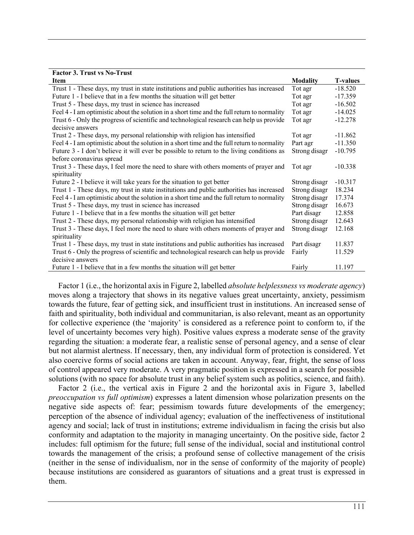| <b>Factor 3. Trust vs No-Trust</b>                                                           |                 |                 |
|----------------------------------------------------------------------------------------------|-----------------|-----------------|
| <b>Item</b>                                                                                  | <b>Modality</b> | <b>T-values</b> |
| Trust 1 - These days, my trust in state institutions and public authorities has increased    | Tot agr         | $-18.520$       |
| Future 1 - I believe that in a few months the situation will get better                      | Tot agr         | $-17.359$       |
| Trust 5 - These days, my trust in science has increased                                      | Tot agr         | $-16.502$       |
| Feel 4 - I am optimistic about the solution in a short time and the full return to normality | Tot agr         | $-14.025$       |
| Trust 6 - Only the progress of scientific and technological research can help us provide     | Tot agr         | $-12.278$       |
| decisive answers                                                                             |                 |                 |
| Trust 2 - These days, my personal relationship with religion has intensified                 | Tot agr         | $-11.862$       |
| Feel 4 - I am optimistic about the solution in a short time and the full return to normality | Part agr        | $-11.350$       |
| Future 3 - I don't believe it will ever be possible to return to the living conditions as    | Strong disagr   | $-10.795$       |
| before coronavirus spread                                                                    |                 |                 |
| Trust 3 - These days, I feel more the need to share with others moments of prayer and        | Tot agr         | $-10.338$       |
| spirituality                                                                                 |                 |                 |
| Future 2 - I believe it will take years for the situation to get better                      | Strong disagr   | $-10.317$       |
| Trust 1 - These days, my trust in state institutions and public authorities has increased    | Strong disagr   | 18.234          |
| Feel 4 - I am optimistic about the solution in a short time and the full return to normality | Strong disagr   | 17.374          |
| Trust 5 - These days, my trust in science has increased                                      | Strong disagr   | 16.673          |
| Future 1 - I believe that in a few months the situation will get better                      | Part disagr     | 12.858          |
| Trust 2 - These days, my personal relationship with religion has intensified                 | Strong disagr   | 12.643          |
| Trust 3 - These days, I feel more the need to share with others moments of prayer and        | Strong disagr   | 12.168          |
| spirituality                                                                                 |                 |                 |
| Trust 1 - These days, my trust in state institutions and public authorities has increased    | Part disagr     | 11.837          |
| Trust 6 - Only the progress of scientific and technological research can help us provide     | Fairly          | 11.529          |
| decisive answers                                                                             |                 |                 |
| Future 1 - I believe that in a few months the situation will get better                      | Fairly          | 11.197          |

Factor 1 (i.e., the horizontal axis in Figure 2, labelled *absolute helplessness vs moderate agency*) moves along a trajectory that shows in its negative values great uncertainty, anxiety, pessimism towards the future, fear of getting sick, and insufficient trust in institutions. An increased sense of faith and spirituality, both individual and communitarian, is also relevant, meant as an opportunity for collective experience (the 'majority' is considered as a reference point to conform to, if the level of uncertainty becomes very high). Positive values express a moderate sense of the gravity regarding the situation: a moderate fear, a realistic sense of personal agency, and a sense of clear but not alarmist alertness. If necessary, then, any individual form of protection is considered. Yet also coercive forms of social actions are taken in account. Anyway, fear, fright, the sense of loss of control appeared very moderate. A very pragmatic position is expressed in a search for possible solutions (with no space for absolute trust in any belief system such as politics, science, and faith).

Factor 2 (i.e., the vertical axis in Figure 2 and the horizontal axis in Figure 3, labelled *preoccupation vs full optimism*) expresses a latent dimension whose polarization presents on the negative side aspects of: fear; pessimism towards future developments of the emergency; perception of the absence of individual agency; evaluation of the ineffectiveness of institutional agency and social; lack of trust in institutions; extreme individualism in facing the crisis but also conformity and adaptation to the majority in managing uncertainty. On the positive side, factor 2 includes: full optimism for the future; full sense of the individual, social and institutional control towards the management of the crisis; a profound sense of collective management of the crisis (neither in the sense of individualism, nor in the sense of conformity of the majority of people) because institutions are considered as guarantors of situations and a great trust is expressed in them.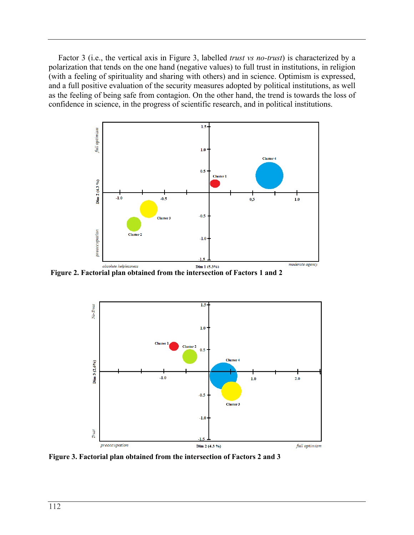Factor 3 (i.e., the vertical axis in Figure 3, labelled *trust vs no-trust*) is characterized by a polarization that tends on the one hand (negative values) to full trust in institutions, in religion (with a feeling of spirituality and sharing with others) and in science. Optimism is expressed, and a full positive evaluation of the security measures adopted by political institutions, as well as the feeling of being safe from contagion. On the other hand, the trend is towards the loss of confidence in science, in the progress of scientific research, and in political institutions.



**Figure 2. Factorial plan obtained from the intersection of Factors 1 and 2**



**Figure 3. Factorial plan obtained from the intersection of Factors 2 and 3**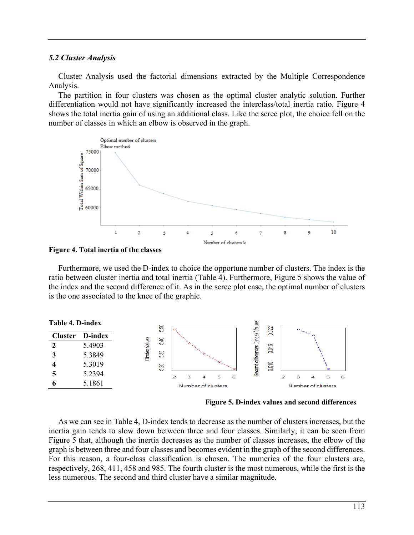#### *5.2 Cluster Analysis*

Cluster Analysis used the factorial dimensions extracted by the Multiple Correspondence Analysis.

The partition in four clusters was chosen as the optimal cluster analytic solution. Further differentiation would not have significantly increased the interclass/total inertia ratio. Figure 4 shows the total inertia gain of using an additional class. Like the scree plot, the choice fell on the number of classes in which an elbow is observed in the graph.





Furthermore, we used the D-index to choice the opportune number of clusters. The index is the ratio between cluster inertia and total inertia (Table 4). Furthermore, Figure 5 shows the value of the index and the second difference of it. As in the scree plot case, the optimal number of clusters is the one associated to the knee of the graphic.



**Figure 5. D-index values and second differences**

As we can see in Table 4, D-index tends to decrease as the number of clusters increases, but the inertia gain tends to slow down between three and four classes. Similarly, it can be seen from Figure 5 that, although the inertia decreases as the number of classes increases, the elbow of the graph is between three and four classes and becomes evident in the graph of the second differences. For this reason, a four-class classification is chosen. The numerics of the four clusters are, respectively, 268, 411, 458 and 985. The fourth cluster is the most numerous, while the first is the less numerous. The second and third cluster have a similar magnitude.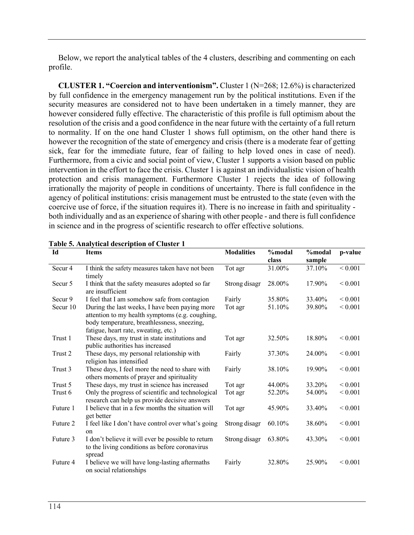Below, we report the analytical tables of the 4 clusters, describing and commenting on each profile.

**CLUSTER 1. "Coercion and interventionism".** Cluster 1 (N=268; 12.6%) is characterized by full confidence in the emergency management run by the political institutions. Even if the security measures are considered not to have been undertaken in a timely manner, they are however considered fully effective. The characteristic of this profile is full optimism about the resolution of the crisis and a good confidence in the near future with the certainty of a full return to normality. If on the one hand Cluster 1 shows full optimism, on the other hand there is however the recognition of the state of emergency and crisis (there is a moderate fear of getting sick, fear for the immediate future, fear of failing to help loved ones in case of need). Furthermore, from a civic and social point of view, Cluster 1 supports a vision based on public intervention in the effort to face the crisis. Cluster 1 is against an individualistic vision of health protection and crisis management. Furthermore Cluster 1 rejects the idea of following irrationally the majority of people in conditions of uncertainty. There is full confidence in the agency of political institutions: crisis management must be entrusted to the state (even with the coercive use of force, if the situation requires it). There is no increase in faith and spirituality both individually and as an experience of sharing with other people - and there is full confidence in science and in the progress of scientific research to offer effective solutions.

| Id                 | <b>Items</b>                                                                                         | <b>Modalities</b> | %modal<br>class | %modal | p-value      |
|--------------------|------------------------------------------------------------------------------------------------------|-------------------|-----------------|--------|--------------|
|                    |                                                                                                      |                   |                 | sample |              |
| Secur <sub>4</sub> | I think the safety measures taken have not been<br>timely                                            | Tot agr           | 31.00%          | 37.10% | ${}< 0.001$  |
| Secur <sub>5</sub> | I think that the safety measures adopted so far<br>are insufficient                                  | Strong disagr     | 28.00%          | 17.90% | ${}_{0.001}$ |
| Secur 9            | I feel that I am somehow safe from contagion                                                         | Fairly            | 35.80%          | 33.40% | ${}< 0.001$  |
| Secur 10           | During the last weeks, I have been paying more<br>attention to my health symptoms (e.g. coughing,    | Tot agr           | 51.10%          | 39.80% | ${}< 0.001$  |
|                    | body temperature, breathlessness, sneezing,<br>fatigue, heart rate, sweating, etc.)                  |                   |                 |        |              |
| Trust 1            | These days, my trust in state institutions and<br>public authorities has increased                   | Tot agr           | 32.50%          | 18.80% | ${}< 0.001$  |
| Trust 2            | These days, my personal relationship with<br>religion has intensified                                | Fairly            | 37.30%          | 24.00% | ${}< 0.001$  |
| Trust 3            | These days, I feel more the need to share with<br>others moments of prayer and spirituality          | Fairly            | 38.10%          | 19.90% | ${}_{0.001}$ |
| Trust 5            | These days, my trust in science has increased                                                        | Tot agr           | 44.00%          | 33.20% | ${}_{0.001}$ |
| Trust 6            | Only the progress of scientific and technological                                                    | Tot agr           | 52.20%          | 54.00% | ${}_{0.001}$ |
|                    | research can help us provide decisive answers                                                        |                   |                 |        |              |
| Future 1           | I believe that in a few months the situation will<br>get better                                      | Tot agr           | 45.90%          | 33.40% | ${}< 0.001$  |
| Future 2           | I feel like I don't have control over what's going<br>on                                             | Strong disagr     | 60.10%          | 38.60% | ${}_{0.001}$ |
| Future 3           | I don't believe it will ever be possible to return<br>to the living conditions as before coronavirus | Strong disagr     | 63.80%          | 43.30% | ${}< 0.001$  |
| Future 4           | spread<br>I believe we will have long-lasting aftermaths<br>on social relationships                  | Fairly            | 32.80%          | 25.90% | ${}_{0.001}$ |

**Table 5. Analytical description of Cluster 1**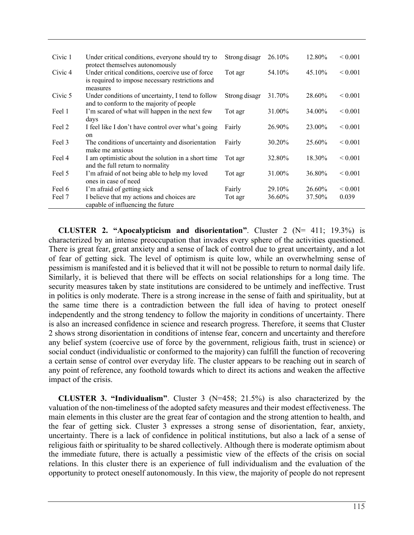| Civic 1            | Under critical conditions, everyone should try to<br>protect themselves autonomously                             | Strong disagr | 26.10% | 12.80% | ${}_{0.001}$ |
|--------------------|------------------------------------------------------------------------------------------------------------------|---------------|--------|--------|--------------|
| Civic <sub>4</sub> | Under critical conditions, coercive use of force<br>is required to impose necessary restrictions and<br>measures | Tot agr       | 54.10% | 45.10% | ${}_{0.001}$ |
| Civic 5            | Under conditions of uncertainty, I tend to follow<br>and to conform to the majority of people                    | Strong disagr | 31.70% | 28.60% | ${}_{0.001}$ |
| Feel 1             | I'm scared of what will happen in the next few<br>days                                                           | Tot agr       | 31.00% | 34.00% | ${}_{0.001}$ |
| Feel 2             | I feel like I don't have control over what's going<br>on                                                         | Fairly        | 26.90% | 23.00% | ${}_{0.001}$ |
| Feel 3             | The conditions of uncertainty and disorientation<br>make me anxious                                              | Fairly        | 30.20% | 25.60% | ${}_{0.001}$ |
| Feel 4             | I am optimistic about the solution in a short time<br>and the full return to normality                           | Tot agr       | 32.80% | 18.30% | ${}_{0.001}$ |
| Feel 5             | I'm afraid of not being able to help my loved<br>ones in case of need                                            | Tot agr       | 31.00% | 36.80% | ${}_{0.001}$ |
| Feel 6             | I'm afraid of getting sick                                                                                       | Fairly        | 29.10% | 26.60% | ${}_{0.001}$ |
| Feel 7             | I believe that my actions and choices are<br>capable of influencing the future                                   | Tot agr       | 36.60% | 37.50% | 0.039        |

**CLUSTER 2. "Apocalypticism and disorientation"**. Cluster 2 (N= 411; 19.3%) is characterized by an intense preoccupation that invades every sphere of the activities questioned. There is great fear, great anxiety and a sense of lack of control due to great uncertainty, and a lot of fear of getting sick. The level of optimism is quite low, while an overwhelming sense of pessimism is manifested and it is believed that it will not be possible to return to normal daily life. Similarly, it is believed that there will be effects on social relationships for a long time. The security measures taken by state institutions are considered to be untimely and ineffective. Trust in politics is only moderate. There is a strong increase in the sense of faith and spirituality, but at the same time there is a contradiction between the full idea of having to protect oneself independently and the strong tendency to follow the majority in conditions of uncertainty. There is also an increased confidence in science and research progress. Therefore, it seems that Cluster 2 shows strong disorientation in conditions of intense fear, concern and uncertainty and therefore any belief system (coercive use of force by the government, religious faith, trust in science) or social conduct (individualistic or conformed to the majority) can fulfill the function of recovering a certain sense of control over everyday life. The cluster appears to be reaching out in search of any point of reference, any foothold towards which to direct its actions and weaken the affective impact of the crisis.

**CLUSTER 3. "Individualism"**. Cluster 3 (N=458; 21.5%) is also characterized by the valuation of the non-timeliness of the adopted safety measures and their modest effectiveness. The main elements in this cluster are the great fear of contagion and the strong attention to health, and the fear of getting sick. Cluster 3 expresses a strong sense of disorientation, fear, anxiety, uncertainty. There is a lack of confidence in political institutions, but also a lack of a sense of religious faith or spirituality to be shared collectively. Although there is moderate optimism about the immediate future, there is actually a pessimistic view of the effects of the crisis on social relations. In this cluster there is an experience of full individualism and the evaluation of the opportunity to protect oneself autonomously. In this view, the majority of people do not represent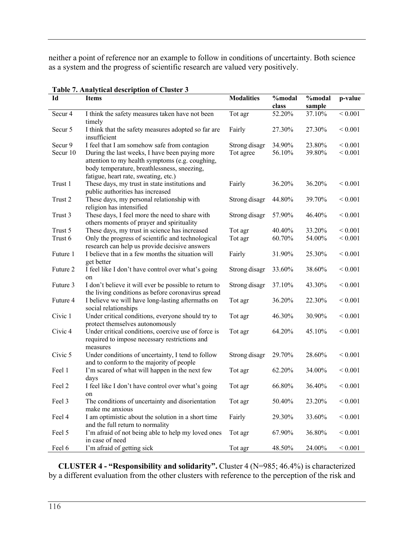neither a point of reference nor an example to follow in conditions of uncertainty. Both science as a system and the progress of scientific research are valued very positively.

| Id                 | rabic 7. Anarytical description of Cluster 5<br><b>Items</b>                                                                                                                             | <b>Modalities</b> | %modal | %modal | p-value      |
|--------------------|------------------------------------------------------------------------------------------------------------------------------------------------------------------------------------------|-------------------|--------|--------|--------------|
|                    |                                                                                                                                                                                          |                   | class  | sample |              |
| Secur <sub>4</sub> | I think the safety measures taken have not been<br>timely                                                                                                                                | Tot agr           | 52.20% | 37.10% | ${}< 0.001$  |
| Secur <sub>5</sub> | I think that the safety measures adopted so far are<br>insufficient                                                                                                                      | Fairly            | 27.30% | 27.30% | ${}_{0.001}$ |
| Secur 9            | I feel that I am somehow safe from contagion                                                                                                                                             | Strong disagr     | 34.90% | 23.80% | ${}_{0.001}$ |
| Secur 10           | During the last weeks, I have been paying more<br>attention to my health symptoms (e.g. coughing,<br>body temperature, breathlessness, sneezing,<br>fatigue, heart rate, sweating, etc.) | Tot agree         | 56.10% | 39.80% | ${}< 0.001$  |
| Trust 1            | These days, my trust in state institutions and<br>public authorities has increased                                                                                                       | Fairly            | 36.20% | 36.20% | ${}< 0.001$  |
| Trust 2            | These days, my personal relationship with<br>religion has intensified                                                                                                                    | Strong disagr     | 44.80% | 39.70% | ${}< 0.001$  |
| Trust 3            | These days, I feel more the need to share with<br>others moments of prayer and spirituality                                                                                              | Strong disagr     | 57.90% | 46.40% | ${}< 0.001$  |
| Trust 5            | These days, my trust in science has increased                                                                                                                                            | Tot agr           | 40.40% | 33.20% | ${}< 0.001$  |
| Trust 6            | Only the progress of scientific and technological<br>research can help us provide decisive answers                                                                                       | Tot agr           | 60.70% | 54.00% | ${}< 0.001$  |
| Future 1           | I believe that in a few months the situation will<br>get better                                                                                                                          | Fairly            | 31.90% | 25.30% | ${}< 0.001$  |
| Future 2           | I feel like I don't have control over what's going<br>on                                                                                                                                 | Strong disagr     | 33.60% | 38.60% | ${}< 0.001$  |
| Future 3           | I don't believe it will ever be possible to return to<br>the living conditions as before coronavirus spread                                                                              | Strong disagr     | 37.10% | 43.30% | ${}< 0.001$  |
| Future 4           | I believe we will have long-lasting aftermaths on<br>social relationships                                                                                                                | Tot agr           | 36.20% | 22.30% | ${}< 0.001$  |
| Civic 1            | Under critical conditions, everyone should try to<br>protect themselves autonomously                                                                                                     | Tot agr           | 46.30% | 30.90% | ${}< 0.001$  |
| Civic <sub>4</sub> | Under critical conditions, coercive use of force is<br>required to impose necessary restrictions and<br>measures                                                                         | Tot agr           | 64.20% | 45.10% | ${}_{0.001}$ |
| Civic 5            | Under conditions of uncertainty, I tend to follow<br>and to conform to the majority of people                                                                                            | Strong disagr     | 29.70% | 28.60% | ${}< 0.001$  |
| Feel 1             | I'm scared of what will happen in the next few<br>days                                                                                                                                   | Tot agr           | 62.20% | 34.00% | ${}_{0.001}$ |
| Feel 2             | I feel like I don't have control over what's going<br>on                                                                                                                                 | Tot agr           | 66.80% | 36.40% | ${}< 0.001$  |
| Feel 3             | The conditions of uncertainty and disorientation<br>make me anxious                                                                                                                      | Tot agr           | 50.40% | 23.20% | ${}< 0.001$  |
| Feel 4             | I am optimistic about the solution in a short time<br>and the full return to normality                                                                                                   | Fairly            | 29.30% | 33.60% | ${}< 0.001$  |
| Feel 5             | I'm afraid of not being able to help my loved ones<br>in case of need                                                                                                                    | Tot agr           | 67.90% | 36.80% | ${}_{0.001}$ |
| Feel 6             | I'm afraid of getting sick                                                                                                                                                               | Tot agr           | 48.50% | 24.00% | ${}< 0.001$  |

### **Table 7. Analytical description of Cluster 3**

**CLUSTER 4 - "Responsibility and solidarity".** Cluster 4 (N=985; 46.4%) is characterized by a different evaluation from the other clusters with reference to the perception of the risk and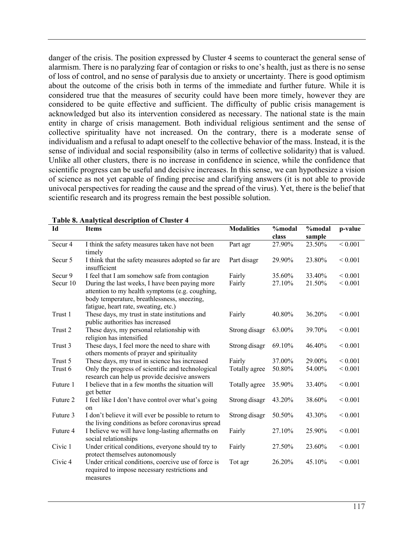danger of the crisis. The position expressed by Cluster 4 seems to counteract the general sense of alarmism. There is no paralyzing fear of contagion or risks to one's health, just as there is no sense of loss of control, and no sense of paralysis due to anxiety or uncertainty. There is good optimism about the outcome of the crisis both in terms of the immediate and further future. While it is considered true that the measures of security could have been more timely, however they are considered to be quite effective and sufficient. The difficulty of public crisis management is acknowledged but also its intervention considered as necessary. The national state is the main entity in charge of crisis management. Both individual religious sentiment and the sense of collective spirituality have not increased. On the contrary, there is a moderate sense of individualism and a refusal to adapt oneself to the collective behavior of the mass. Instead, it is the sense of individual and social responsibility (also in terms of collective solidarity) that is valued. Unlike all other clusters, there is no increase in confidence in science, while the confidence that scientific progress can be useful and decisive increases. In this sense, we can hypothesize a vision of science as not yet capable of finding precise and clarifying answers (it is not able to provide univocal perspectives for reading the cause and the spread of the virus). Yet, there is the belief that scientific research and its progress remain the best possible solution.

| Id                 | <b>Items</b>                                                                                                                                                                             | <b>Modalities</b> | %modal<br>class | %modal<br>sample | p-value      |
|--------------------|------------------------------------------------------------------------------------------------------------------------------------------------------------------------------------------|-------------------|-----------------|------------------|--------------|
| Secur <sub>4</sub> | I think the safety measures taken have not been<br>timely                                                                                                                                | Part agr          | 27.90%          | 23.50%           | < 0.001      |
| Secur <sub>5</sub> | I think that the safety measures adopted so far are<br>insufficient                                                                                                                      | Part disagr       | 29.90%          | 23.80%           | ${}< 0.001$  |
| Secur 9            | I feel that I am somehow safe from contagion                                                                                                                                             | Fairly            | 35.60%          | 33.40%           | ${}_{0.001}$ |
| Secur 10           | During the last weeks, I have been paying more<br>attention to my health symptoms (e.g. coughing,<br>body temperature, breathlessness, sneezing,<br>fatigue, heart rate, sweating, etc.) | Fairly            | 27.10%          | 21.50%           | < 0.001      |
| Trust 1            | These days, my trust in state institutions and<br>public authorities has increased                                                                                                       | Fairly            | 40.80%          | 36.20%           | ${}< 0.001$  |
| Trust 2            | These days, my personal relationship with<br>religion has intensified                                                                                                                    | Strong disagr     | 63.00%          | 39.70%           | ${}< 0.001$  |
| Trust 3            | These days, I feel more the need to share with<br>others moments of prayer and spirituality                                                                                              | Strong disagr     | 69.10%          | 46.40%           | ${}_{0.001}$ |
| Trust 5            | These days, my trust in science has increased                                                                                                                                            | Fairly            | 37.00%          | 29.00%           | ${}_{0.001}$ |
| Trust 6            | Only the progress of scientific and technological<br>research can help us provide decisive answers                                                                                       | Totally agree     | 50.80%          | 54.00%           | < 0.001      |
| Future 1           | I believe that in a few months the situation will<br>get better                                                                                                                          | Totally agree     | 35.90%          | 33.40%           | ${}< 0.001$  |
| Future 2           | I feel like I don't have control over what's going<br>on                                                                                                                                 | Strong disagr     | 43.20%          | 38.60%           | ${}_{0.001}$ |
| Future 3           | I don't believe it will ever be possible to return to<br>the living conditions as before coronavirus spread                                                                              | Strong disagr     | 50.50%          | 43.30%           | ${}< 0.001$  |
| Future 4           | I believe we will have long-lasting aftermaths on<br>social relationships                                                                                                                | Fairly            | 27.10%          | 25.90%           | ${}< 0.001$  |
| Civic 1            | Under critical conditions, everyone should try to<br>protect themselves autonomously                                                                                                     | Fairly            | 27.50%          | 23.60%           | ${}_{0.001}$ |
| Civic <sub>4</sub> | Under critical conditions, coercive use of force is<br>required to impose necessary restrictions and<br>measures                                                                         | Tot agr           | 26.20%          | 45.10%           | ${}_{0.001}$ |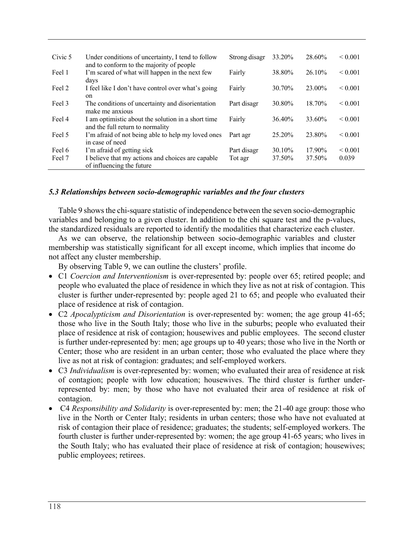| Civic 5 | Under conditions of uncertainty, I tend to follow<br>and to conform to the majority of people | Strong disagr | 33.20% | 28.60% | ${}_{0.001}$ |
|---------|-----------------------------------------------------------------------------------------------|---------------|--------|--------|--------------|
| Feel 1  | I'm scared of what will happen in the next few<br>days                                        | Fairly        | 38.80% | 26.10% | ${}_{0.001}$ |
| Feel 2  | I feel like I don't have control over what's going<br>on                                      | Fairly        | 30.70% | 23.00% | ${}_{0.001}$ |
| Feel 3  | The conditions of uncertainty and disorientation<br>make me anxious                           | Part disagr   | 30.80% | 18.70% | ${}_{0.001}$ |
| Feel 4  | I am optimistic about the solution in a short time<br>and the full return to normality        | Fairly        | 36.40% | 33.60% | ${}_{0.001}$ |
| Feel 5  | I'm afraid of not being able to help my loved ones<br>in case of need                         | Part agr      | 25.20% | 23.80% | ${}_{0.001}$ |
| Feel 6  | I'm afraid of getting sick                                                                    | Part disagr   | 30.10% | 17.90% | ${}_{0.001}$ |
| Feel 7  | I believe that my actions and choices are capable<br>of influencing the future                | Tot agr       | 37.50% | 37.50% | 0.039        |

### *5.3 Relationships between socio-demographic variables and the four clusters*

Table 9 shows the chi-square statistic of independence between the seven socio-demographic variables and belonging to a given cluster. In addition to the chi square test and the p-values, the standardized residuals are reported to identify the modalities that characterize each cluster.

As we can observe, the relationship between socio-demographic variables and cluster membership was statistically significant for all except income, which implies that income do not affect any cluster membership.

By observing Table 9, we can outline the clusters' profile.

- C1 *Coercion and Interventionism* is over-represented by: people over 65; retired people; and people who evaluated the place of residence in which they live as not at risk of contagion. This cluster is further under-represented by: people aged 21 to 65; and people who evaluated their place of residence at risk of contagion.
- C2 *Apocalypticism and Disorientation* is over-represented by: women; the age group 41-65; those who live in the South Italy; those who live in the suburbs; people who evaluated their place of residence at risk of contagion; housewives and public employees. The second cluster is further under-represented by: men; age groups up to 40 years; those who live in the North or Center; those who are resident in an urban center; those who evaluated the place where they live as not at risk of contagion: graduates; and self-employed workers.
- C3 *Individualism* is over-represented by: women; who evaluated their area of residence at risk of contagion; people with low education; housewives. The third cluster is further underrepresented by: men; by those who have not evaluated their area of residence at risk of contagion.
- C4 *Responsibility and Solidarity* is over-represented by: men; the 21-40 age group: those who live in the North or Center Italy; residents in urban centers; those who have not evaluated at risk of contagion their place of residence; graduates; the students; self-employed workers. The fourth cluster is further under-represented by: women; the age group 41-65 years; who lives in the South Italy; who has evaluated their place of residence at risk of contagion; housewives; public employees; retirees.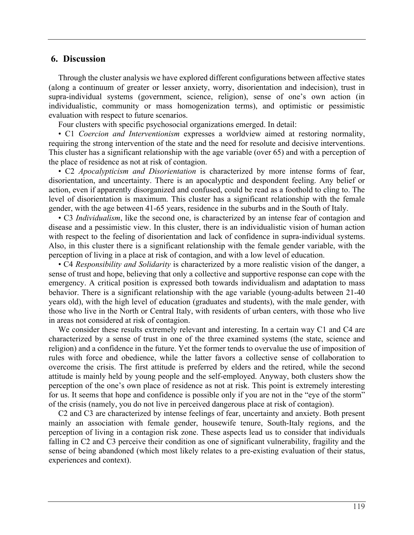### **6. Discussion**

Through the cluster analysis we have explored different configurations between affective states (along a continuum of greater or lesser anxiety, worry, disorientation and indecision), trust in supra-individual systems (government, science, religion), sense of one's own action (in individualistic, community or mass homogenization terms), and optimistic or pessimistic evaluation with respect to future scenarios.

Four clusters with specific psychosocial organizations emerged. In detail:

• C1 *Coercion and Interventionism* expresses a worldview aimed at restoring normality, requiring the strong intervention of the state and the need for resolute and decisive interventions. This cluster has a significant relationship with the age variable (over 65) and with a perception of the place of residence as not at risk of contagion.

• C2 *Apocalypticism and Disorientation* is characterized by more intense forms of fear, disorientation, and uncertainty. There is an apocalyptic and despondent feeling. Any belief or action, even if apparently disorganized and confused, could be read as a foothold to cling to. The level of disorientation is maximum. This cluster has a significant relationship with the female gender, with the age between 41-65 years, residence in the suburbs and in the South of Italy.

• C3 *Individualism*, like the second one, is characterized by an intense fear of contagion and disease and a pessimistic view. In this cluster, there is an individualistic vision of human action with respect to the feeling of disorientation and lack of confidence in supra-individual systems. Also, in this cluster there is a significant relationship with the female gender variable, with the perception of living in a place at risk of contagion, and with a low level of education.

• C4 *Responsibility and Solidarity* is characterized by a more realistic vision of the danger, a sense of trust and hope, believing that only a collective and supportive response can cope with the emergency. A critical position is expressed both towards individualism and adaptation to mass behavior. There is a significant relationship with the age variable (young-adults between 21-40 years old), with the high level of education (graduates and students), with the male gender, with those who live in the North or Central Italy, with residents of urban centers, with those who live in areas not considered at risk of contagion.

We consider these results extremely relevant and interesting. In a certain way C1 and C4 are characterized by a sense of trust in one of the three examined systems (the state, science and religion) and a confidence in the future. Yet the former tends to overvalue the use of imposition of rules with force and obedience, while the latter favors a collective sense of collaboration to overcome the crisis. The first attitude is preferred by elders and the retired, while the second attitude is mainly held by young people and the self-employed. Anyway, both clusters show the perception of the one's own place of residence as not at risk. This point is extremely interesting for us. It seems that hope and confidence is possible only if you are not in the "eye of the storm" of the crisis (namely, you do not live in perceived dangerous place at risk of contagion).

C2 and C3 are characterized by intense feelings of fear, uncertainty and anxiety. Both present mainly an association with female gender, housewife tenure, South-Italy regions, and the perception of living in a contagion risk zone. These aspects lead us to consider that individuals falling in C2 and C3 perceive their condition as one of significant vulnerability, fragility and the sense of being abandoned (which most likely relates to a pre-existing evaluation of their status, experiences and context).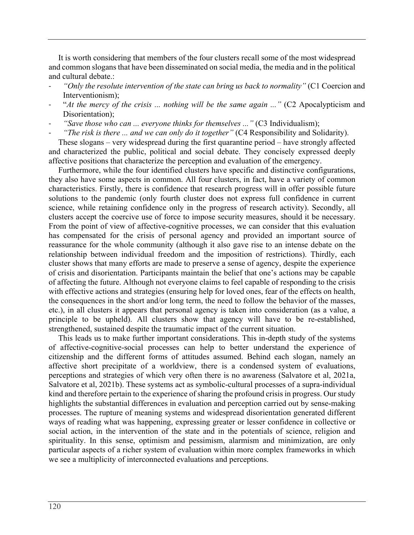It is worth considering that members of the four clusters recall some of the most widespread and common slogans that have been disseminated on social media, the media and in the political and cultural debate.:

- *"Only the resolute intervention of the state can bring us back to normality"* (C1 Coercion and Interventionism);
- "*At the mercy of the crisis ... nothing will be the same again ...*" (C2 Apocalypticism and Disorientation):
- "Save those who can ... everyone thinks for themselves ..." (C3 Individualism);
- *"The risk is there ... and we can only do it together"* (C4 Responsibility and Solidarity).

These slogans – very widespread during the first quarantine period – have strongly affected and characterized the public, political and social debate. They concisely expressed deeply affective positions that characterize the perception and evaluation of the emergency.

Furthermore, while the four identified clusters have specific and distinctive configurations, they also have some aspects in common. All four clusters, in fact, have a variety of common characteristics. Firstly, there is confidence that research progress will in offer possible future solutions to the pandemic (only fourth cluster does not express full confidence in current science, while retaining confidence only in the progress of research activity). Secondly, all clusters accept the coercive use of force to impose security measures, should it be necessary. From the point of view of affective-cognitive processes, we can consider that this evaluation has compensated for the crisis of personal agency and provided an important source of reassurance for the whole community (although it also gave rise to an intense debate on the relationship between individual freedom and the imposition of restrictions). Thirdly, each cluster shows that many efforts are made to preserve a sense of agency, despite the experience of crisis and disorientation. Participants maintain the belief that one's actions may be capable of affecting the future. Although not everyone claims to feel capable of responding to the crisis with effective actions and strategies (ensuring help for loved ones, fear of the effects on health, the consequences in the short and/or long term, the need to follow the behavior of the masses, etc.), in all clusters it appears that personal agency is taken into consideration (as a value, a principle to be upheld). All clusters show that agency will have to be re-established, strengthened, sustained despite the traumatic impact of the current situation.

This leads us to make further important considerations. This in-depth study of the systems of affective-cognitive-social processes can help to better understand the experience of citizenship and the different forms of attitudes assumed. Behind each slogan, namely an affective short precipitate of a worldview, there is a condensed system of evaluations, perceptions and strategies of which very often there is no awareness (Salvatore et al, 2021a, Salvatore et al, 2021b). These systems act as symbolic-cultural processes of a supra-individual kind and therefore pertain to the experience of sharing the profound crisis in progress. Our study highlights the substantial differences in evaluation and perception carried out by sense-making processes. The rupture of meaning systems and widespread disorientation generated different ways of reading what was happening, expressing greater or lesser confidence in collective or social action, in the intervention of the state and in the potentials of science, religion and spirituality. In this sense, optimism and pessimism, alarmism and minimization, are only particular aspects of a richer system of evaluation within more complex frameworks in which we see a multiplicity of interconnected evaluations and perceptions.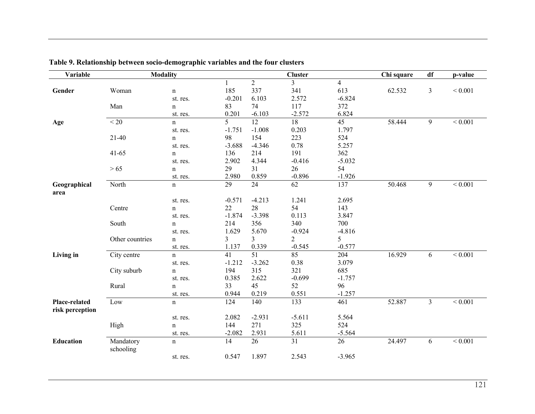| Variable                         |                        | <b>Modality</b> |                 |                | <b>Cluster</b> |                | Chi square | df             | p-value     |
|----------------------------------|------------------------|-----------------|-----------------|----------------|----------------|----------------|------------|----------------|-------------|
|                                  |                        |                 |                 | $\overline{2}$ | 3              | $\overline{4}$ |            |                |             |
| Gender                           | Woman                  | $\mathbf n$     | 185             | 337            | 341            | 613            | 62.532     | $\mathfrak{Z}$ | ${}< 0.001$ |
|                                  |                        | st. res.        | $-0.201$        | 6.103          | 2.572          | $-6.824$       |            |                |             |
|                                  | Man                    | $\mathbf n$     | 83              | 74             | 117            | 372            |            |                |             |
|                                  |                        | st. res.        | 0.201           | $-6.103$       | $-2.572$       | 6.824          |            |                |             |
| Age                              | < 20                   | $\mathbf n$     | 5               | 12             | 18             | 45             | 58.444     | 9              | ${}< 0.001$ |
|                                  |                        | st. res.        | $-1.751$        | $-1.008$       | 0.203          | 1.797          |            |                |             |
|                                  | $21-40$                | $\mathbf n$     | 98              | 154            | 223            | 524            |            |                |             |
|                                  |                        | st. res.        | $-3.688$        | $-4.346$       | 0.78           | 5.257          |            |                |             |
|                                  | $41 - 65$              | $\mathbf n$     | 136             | 214            | 191            | 362            |            |                |             |
|                                  |                        | st. res.        | 2.902           | 4.344          | $-0.416$       | $-5.032$       |            |                |             |
|                                  | $>65$                  | $\mathbf n$     | 29              | 31             | 26             | 54             |            |                |             |
|                                  |                        | st. res.        | 2.980           | 0.859          | $-0.896$       | $-1.926$       |            |                |             |
| Geographical                     | North                  | $\mathbf n$     | $\overline{29}$ | 24             | 62             | 137            | 50.468     | $\overline{9}$ | < 0.001     |
| area                             |                        |                 |                 |                |                |                |            |                |             |
|                                  |                        | st. res.        | $-0.571$        | $-4.213$       | 1.241          | 2.695          |            |                |             |
|                                  | Centre                 | $\mathbf n$     | 22              | 28             | 54             | 143            |            |                |             |
|                                  |                        | st. res.        | $-1.874$        | $-3.398$       | 0.113          | 3.847          |            |                |             |
|                                  | South                  | $\mathbf n$     | 214             | 356            | 340            | 700            |            |                |             |
|                                  |                        | st. res.        | 1.629           | 5.670          | $-0.924$       | $-4.816$       |            |                |             |
|                                  | Other countries        | $\mathbf n$     | 3               | 3              | 2              | 5              |            |                |             |
|                                  |                        | st. res.        | 1.137           | 0.339          | $-0.545$       | $-0.577$       |            |                |             |
| Living in                        | City centre            | $\mathbf n$     | 41              | 51             | 85             | 204            | 16.929     | 6              | ${}< 0.001$ |
|                                  |                        | st. res.        | $-1.212$        | $-3.262$       | 0.38           | 3.079          |            |                |             |
|                                  | City suburb            | $\mathbf n$     | 194             | 315            | 321            | 685            |            |                |             |
|                                  |                        | st. res.        | 0.385           | 2.622          | $-0.699$       | $-1.757$       |            |                |             |
|                                  | Rural                  | $\mathbf n$     | 33              | 45             | 52             | 96             |            |                |             |
|                                  |                        | st. res.        | 0.944           | 0.219          | 0.551          | $-1.257$       |            |                |             |
| Place-related<br>risk perception | Low                    | $\mathbf n$     | 124             | 140            | 133            | 461            | 52.887     | $\overline{3}$ | ${}< 0.001$ |
|                                  |                        | st. res.        | 2.082           | $-2.931$       | $-5.611$       | 5.564          |            |                |             |
|                                  | High                   | $\mathbf n$     | 144             | 271            | 325            | 524            |            |                |             |
|                                  |                        | st. res.        | $-2.082$        | 2.931          | 5.611          | $-5.564$       |            |                |             |
| Education                        | Mandatory<br>schooling | $\mathbf n$     | 14              | 26             | 31             | 26             | 24.497     | 6              | ${}< 0.001$ |
|                                  |                        | st. res.        | 0.547           | 1.897          | 2.543          | $-3.965$       |            |                |             |

**Table 9. Relationship between socio-demographic variables and the four clusters**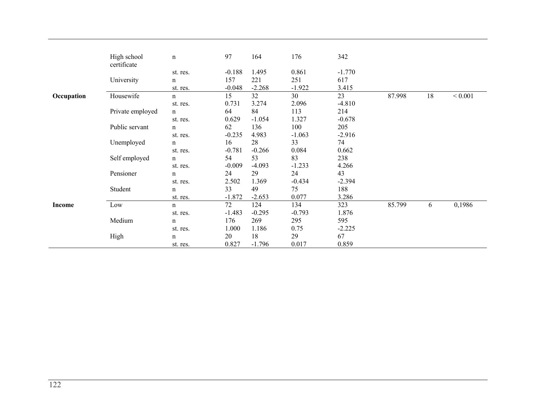|            | High school      | $\mathbf n$ | 97       | 164      | 176      | 342      |        |    |             |
|------------|------------------|-------------|----------|----------|----------|----------|--------|----|-------------|
|            | certificate      |             |          |          |          |          |        |    |             |
|            |                  | st. res.    | $-0.188$ | 1.495    | 0.861    | $-1.770$ |        |    |             |
|            | University       | $\mathbf n$ | 157      | 221      | 251      | 617      |        |    |             |
|            |                  | st. res.    | $-0.048$ | $-2.268$ | $-1.922$ | 3.415    |        |    |             |
| Occupation | Housewife        | n           | 15       | 32       | 30       | 23       | 87.998 | 18 | ${}< 0.001$ |
|            |                  | st. res.    | 0.731    | 3.274    | 2.096    | $-4.810$ |        |    |             |
|            | Private employed | $\mathbf n$ | 64       | 84       | 113      | 214      |        |    |             |
|            |                  | st. res.    | 0.629    | $-1.054$ | 1.327    | $-0.678$ |        |    |             |
|            | Public servant   | $\mathbf n$ | 62       | 136      | 100      | 205      |        |    |             |
|            |                  | st. res.    | $-0.235$ | 4.983    | $-1.063$ | $-2.916$ |        |    |             |
|            | Unemployed       | $\mathbf n$ | 16       | 28       | 33       | 74       |        |    |             |
|            |                  | st. res.    | $-0.781$ | $-0.266$ | 0.084    | 0.662    |        |    |             |
|            | Self employed    | $\mathbf n$ | 54       | 53       | 83       | 238      |        |    |             |
|            |                  | st. res.    | $-0.009$ | $-4.093$ | $-1.233$ | 4.266    |        |    |             |
|            | Pensioner        | $\mathbf n$ | 24       | 29       | 24       | 43       |        |    |             |
|            |                  | st. res.    | 2.502    | 1.369    | $-0.434$ | $-2.394$ |        |    |             |
|            | Student          | $\mathbf n$ | 33       | 49       | 75       | 188      |        |    |             |
|            |                  | st. res.    | $-1.872$ | $-2.653$ | 0.077    | 3.286    |        |    |             |
| Income     | Low              | n           | 72       | 124      | 134      | 323      | 85.799 | 6  | 0,1986      |
|            |                  | st. res.    | $-1.483$ | $-0.295$ | $-0.793$ | 1.876    |        |    |             |
|            | Medium           | $\mathbf n$ | 176      | 269      | 295      | 595      |        |    |             |
|            |                  | st. res.    | 1.000    | 1.186    | 0.75     | $-2.225$ |        |    |             |
|            | High             | $\mathbf n$ | 20       | 18       | 29       | 67       |        |    |             |
|            |                  | st. res.    | 0.827    | $-1.796$ | 0.017    | 0.859    |        |    |             |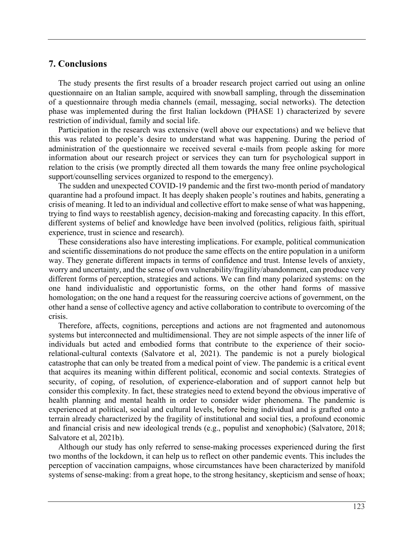### **7. Conclusions**

The study presents the first results of a broader research project carried out using an online questionnaire on an Italian sample, acquired with snowball sampling, through the dissemination of a questionnaire through media channels (email, messaging, social networks). The detection phase was implemented during the first Italian lockdown (PHASE 1) characterized by severe restriction of individual, family and social life.

Participation in the research was extensive (well above our expectations) and we believe that this was related to people's desire to understand what was happening. During the period of administration of the questionnaire we received several e-mails from people asking for more information about our research project or services they can turn for psychological support in relation to the crisis (we promptly directed all them towards the many free online psychological support/counselling services organized to respond to the emergency).

The sudden and unexpected COVID-19 pandemic and the first two-month period of mandatory quarantine had a profound impact. It has deeply shaken people's routines and habits, generating a crisis of meaning. It led to an individual and collective effort to make sense of what was happening, trying to find ways to reestablish agency, decision-making and forecasting capacity. In this effort, different systems of belief and knowledge have been involved (politics, religious faith, spiritual experience, trust in science and research).

These considerations also have interesting implications. For example, political communication and scientific disseminations do not produce the same effects on the entire population in a uniform way. They generate different impacts in terms of confidence and trust. Intense levels of anxiety, worry and uncertainty, and the sense of own vulnerability/fragility/abandonment, can produce very different forms of perception, strategies and actions. We can find many polarized systems: on the one hand individualistic and opportunistic forms, on the other hand forms of massive homologation; on the one hand a request for the reassuring coercive actions of government, on the other hand a sense of collective agency and active collaboration to contribute to overcoming of the crisis.

Therefore, affects, cognitions, perceptions and actions are not fragmented and autonomous systems but interconnected and multidimensional. They are not simple aspects of the inner life of individuals but acted and embodied forms that contribute to the experience of their sociorelational-cultural contexts (Salvatore et al, 2021). The pandemic is not a purely biological catastrophe that can only be treated from a medical point of view. The pandemic is a critical event that acquires its meaning within different political, economic and social contexts. Strategies of security, of coping, of resolution, of experience-elaboration and of support cannot help but consider this complexity. In fact, these strategies need to extend beyond the obvious imperative of health planning and mental health in order to consider wider phenomena. The pandemic is experienced at political, social and cultural levels, before being individual and is grafted onto a terrain already characterized by the fragility of institutional and social ties, a profound economic and financial crisis and new ideological trends (e.g., populist and xenophobic) (Salvatore, 2018; Salvatore et al, 2021b).

Although our study has only referred to sense-making processes experienced during the first two months of the lockdown, it can help us to reflect on other pandemic events. This includes the perception of vaccination campaigns, whose circumstances have been characterized by manifold systems of sense-making: from a great hope, to the strong hesitancy, skepticism and sense of hoax;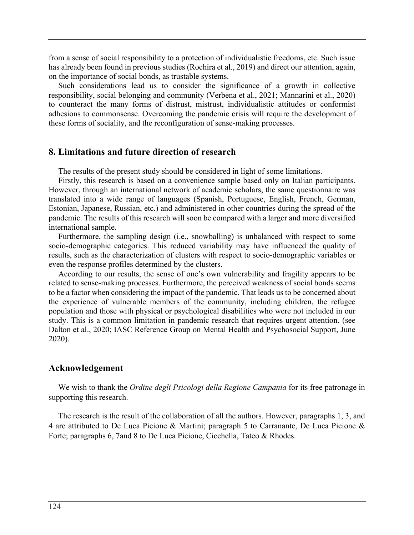from a sense of social responsibility to a protection of individualistic freedoms, etc. Such issue has already been found in previous studies (Rochira et al., 2019) and direct our attention, again, on the importance of social bonds, as trustable systems.

Such considerations lead us to consider the significance of a growth in collective responsibility, social belonging and community (Verbena et al., 2021; Mannarini et al., 2020) to counteract the many forms of distrust, mistrust, individualistic attitudes or conformist adhesions to commonsense. Overcoming the pandemic crisis will require the development of these forms of sociality, and the reconfiguration of sense-making processes.

#### **8. Limitations and future direction of research**

The results of the present study should be considered in light of some limitations.

Firstly, this research is based on a convenience sample based only on Italian participants. However, through an international network of academic scholars, the same questionnaire was translated into a wide range of languages (Spanish, Portuguese, English, French, German, Estonian, Japanese, Russian, etc.) and administered in other countries during the spread of the pandemic. The results of this research will soon be compared with a larger and more diversified international sample.

Furthermore, the sampling design (i.e., snowballing) is unbalanced with respect to some socio-demographic categories. This reduced variability may have influenced the quality of results, such as the characterization of clusters with respect to socio-demographic variables or even the response profiles determined by the clusters.

According to our results, the sense of one's own vulnerability and fragility appears to be related to sense-making processes. Furthermore, the perceived weakness of social bonds seems to be a factor when considering the impact of the pandemic. That leads us to be concerned about the experience of vulnerable members of the community, including children, the refugee population and those with physical or psychological disabilities who were not included in our study. This is a common limitation in pandemic research that requires urgent attention. (see Dalton et al., 2020; IASC Reference Group on Mental Health and Psychosocial Support, June 2020).

#### **Acknowledgement**

We wish to thank the *Ordine degli Psicologi della Regione Campania* for its free patronage in supporting this research.

The research is the result of the collaboration of all the authors. However, paragraphs 1, 3, and 4 are attributed to De Luca Picione & Martini; paragraph 5 to Carranante, De Luca Picione & Forte; paragraphs 6, 7and 8 to De Luca Picione, Cicchella, Tateo & Rhodes.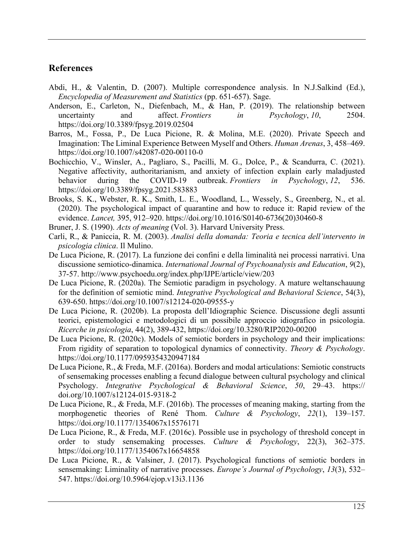# **References**

- Abdi, H., & Valentin, D. (2007). Multiple correspondence analysis. In N.J.Salkind (Ed.), *Encyclopedia of Measurement and Statistics* (pp. 651-657). Sage.
- Anderson, E., Carleton, N., Diefenbach, M., & Han, P. (2019). The relationship between uncertainty and affect. *Frontiers in Psychology*, 10, 2504. https://doi.org/10.3389/fpsyg.2019.02504
- Barros, M., Fossa, P., De Luca Picione, R. & Molina, M.E. (2020). Private Speech and Imagination: The Liminal Experience Between Myself and Others. *Human Arenas*, 3, 458–469. https://doi.org/10.1007/s42087-020-00110-0
- Bochicchio, V., Winsler, A., Pagliaro, S., Pacilli, M. G., Dolce, P., & Scandurra, C. (2021). Negative affectivity, authoritarianism, and anxiety of infection explain early maladjusted behavior during the COVID-19 outbreak. *Frontiers in Psychology*, *12*, 536. https://doi.org/10.3389/fpsyg.2021.583883
- Brooks, S. K., Webster, R. K., Smith, L. E., Woodland, L., Wessely, S., Greenberg, N., et al. (2020). The psychological impact of quarantine and how to reduce it: Rapid review of the evidence. *Lancet,* 395, 912–920. https://doi.org/10.1016/S0140-6736(20)30460-8
- Bruner, J. S. (1990). *Acts of meaning* (Vol. 3). Harvard University Press.
- Carli, R., & Paniccia, R. M. (2003). *Analisi della domanda: Teoria e tecnica dell'intervento in psicologia clinica*. Il Mulino.
- De Luca Picione, R. (2017). La funzione dei confini e della liminalità nei processi narrativi. Una discussione semiotico-dinamica. *International Journal of Psychoanalysis and Education*, *9*(2), 37-57. http://www.psychoedu.org/index.php/IJPE/article/view/203
- De Luca Picione, R. (2020a). The Semiotic paradigm in psychology. A mature weltanschauung for the definition of semiotic mind. *Integrative Psychological and Behavioral Science*, 54(3), 639-650. https://doi.org/10.1007/s12124-020-09555-y
- De Luca Picione, R. (2020b). La proposta dell'Idiographic Science. Discussione degli assunti teorici, epistemologici e metodologici di un possibile approccio idiografico in psicologia. *Ricerche in psicologia*, 44(2), 389-432, https://doi.org/10.3280/RIP2020-00200
- De Luca Picione, R. (2020c). Models of semiotic borders in psychology and their implications: From rigidity of separation to topological dynamics of connectivity. *Theory & Psychology*. https://doi.org/10.1177/0959354320947184
- De Luca Picione, R., & Freda, M.F. (2016a). Borders and modal articulations: Semiotic constructs of sensemaking processes enabling a fecund dialogue between cultural psychology and clinical Psychology. *Integrative Psychological & Behavioral Science*, *50*, 29–43. https:// doi.org/10.1007/s12124-015-9318-2
- De Luca Picione, R., & Freda, M.F. (2016b). The processes of meaning making, starting from the morphogenetic theories of René Thom. *Culture & Psychology*, *22*(1), 139–157. https://doi.org/10.1177/1354067x15576171
- De Luca Picione, R., & Freda, M.F. (2016c). Possible use in psychology of threshold concept in order to study sensemaking processes. *Culture & Psychology*, 22(3), 362–375. https://doi.org/10.1177/1354067x16654858
- De Luca Picione, R., & Valsiner, J. (2017). Psychological functions of semiotic borders in sensemaking: Liminality of narrative processes. *Europe's Journal of Psychology*, *13*(3), 532– 547. https://doi.org/10.5964/ejop.v13i3.1136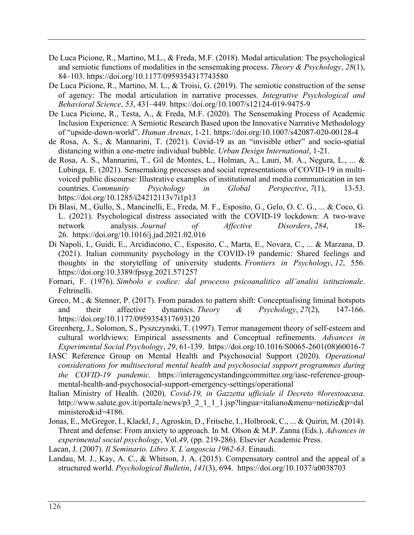- De Luca Picione, R., Martino, M.L., & Freda, M.F. (2018). Modal articulation: The psychological and semiotic functions of modalities in the sensemaking process. *Theory & Psychology*, *28*(1), 84–103. https://doi.org/10.1177/0959354317743580
- De Luca Picione, R., Martino, M. L., & Troisi, G. (2019). The semiotic construction of the sense of agency: The modal articulation in narrative processes. *Integrative Psychological and Behavioral Science*, *53*, 431–449. https://doi.org/10.1007/s12124-019-9475-9
- De Luca Picione, R., Testa, A., & Freda, M.F. (2020). The Sensemaking Process of Academic Inclusion Experience: A Semiotic Research Based upon the Innovative Narrative Methodology of "upside-down-world". *Human Arenas*, 1-21. https://doi.org/10.1007/s42087-020-00128-4
- de Rosa, A. S., & Mannarini, T. (2021). Covid-19 as an "invisible other" and socio-spatial distancing within a one-metre individual bubble. *Urban Design International*, 1-21.
- de Rosa, A. S., Mannarini, T., Gil de Montes, L., Holman, A., Lauri, M. A., Negura, L., ... & Lubinga, E. (2021). Sensemaking processes and social representations of COVID-19 in multivoiced public discourse: Illustrative examples of institutional and media communication in ten countries. *Community Psychology in Global Perspective*, *7*(1), 13-53. https://doi.org/10.1285/i24212113v7i1p13
- Di Blasi, M., Gullo, S., Mancinelli, E., Freda, M. F., Esposito, G., Gelo, O. C. G., ... & Coco, G. L. (2021). Psychological distress associated with the COVID-19 lockdown: A two-wave network analysis. *Journal of Affective Disorders*, *284*, 18- 26. https://doi.org/10.1016/j.jad.2021.02.016
- Di Napoli, I., Guidi, E., Arcidiacono, C., Esposito, C., Marta, E., Novara, C., ... & Marzana, D. (2021). Italian community psychology in the COVID-19 pandemic: Shared feelings and thoughts in the storytelling of university students. *Frontiers in Psychology*, *12*, 556. https://doi.org/10.3389/fpsyg.2021.571257
- Fornari, F. (1976). *Simbolo e codice: dal processo psicoanalitico all'analisi istituzionale*. Feltrinelli.
- Greco, M., & Stenner, P. (2017). From paradox to pattern shift: Conceptualising liminal hotspots and their affective dynamics. *Theory & Psychology*, *27*(2), 147-166. https://doi.org/10.1177/0959354317693120
- Greenberg, J., Solomon, S., Pyszczynski, T. (1997). Terror management theory of self-esteem and cultural worldviews: Empirical assessments and Conceptual refinements. *Advances in Experimental Social Psychology*, *29*, 61-139. https://doi.org/10.1016/S0065-2601(08)60016-7
- IASC Reference Group on Mental Health and Psychosocial Support (2020). *Operational considerations for multisectoral mental health and psychosocial support programmes during the COVID-19 pandemic.* https://interagencystandingcommittee.org/iasc-reference-groupmental-health-and-psychosocial-support-emergency-settings/operational
- Italian Ministry of Health. (2020). *Covid-19, in Gazzetta ufficiale il Decreto #Iorestoacasa*. http://www.salute.gov.it/portale/news/p3\_2\_1\_1\_1.jsp?lingua=italiano&menu=notizie&p=dal ministero&id=4186.
- Jonas, E., McGregor, I., Klackl, J., Agroskin, D., Fritsche, I., Holbrook, C., ... & Quirin, M. (2014). Threat and defense: From anxiety to approach. In M. Olson & M.P. Zanna (Eds.), *Advances in experimental social psychology*, Vol.*49,* (pp. 219-286). Elsevier Academic Press.

Lacan, J. (2007). *Il Seminario. Libro X. L'angoscia 1962-63*. Einaudi.

Landau, M. J., Kay, A. C., & Whitson, J. A. (2015). Compensatory control and the appeal of a structured world. *Psychological Bulletin*, *141*(3), 694. https://doi.org/10.1037/a0038703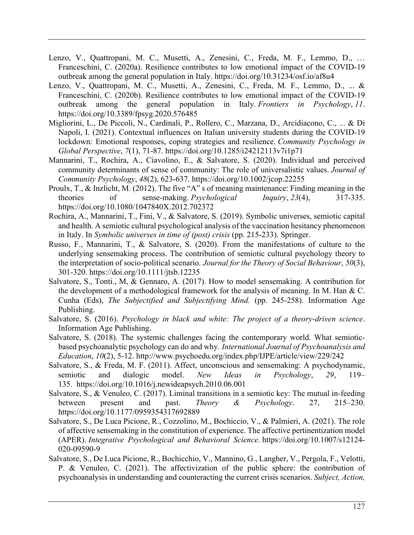- Lenzo, V., Quattropani, M. C., Musetti, A., Zenesini, C., Freda, M. F., Lemmo, D., … Franceschini, C. (2020a). Resilience contributes to low emotional impact of the COVID-19 outbreak among the general population in Italy. https://doi.org/10.31234/osf.io/af8u4
- Lenzo, V., Quattropani, M. C., Musetti, A., Zenesini, C., Freda, M. F., Lemmo, D., ... & Franceschini, C. (2020b). Resilience contributes to low emotional impact of the COVID-19 outbreak among the general population in Italy. *Frontiers in Psychology*, *11*. https://doi.org/10.3389/fpsyg.2020.576485
- Migliorini, L., De Piccoli, N., Cardinali, P., Rollero, C., Marzana, D., Arcidiacono, C., ... & Di Napoli, I. (2021). Contextual influences on Italian university students during the COVID-19 lockdown: Emotional responses, coping strategies and resilience. *Community Psychology in Global Perspective*, *7*(1), 71-87. https://doi.org/10.1285/i24212113v7i1p71
- Mannarini, T., Rochira, A., Ciavolino, E., & Salvatore, S. (2020). Individual and perceived community determinants of sense of community: The role of universalistic values. *Journal of Community Psychology*, *48*(2), 623-637. https://doi.org/10.1002/jcop.22255
- Proulx, T., & Inzlicht, M. (2012). The five "A" s of meaning maintenance: Finding meaning in the theories of sense-making. *Psychological Inquiry*, *23*(4), 317-335. https://doi.org/10.1080/1047840X.2012.702372
- Rochira, A., Mannarini, T., Fini, V., & Salvatore, S. (2019). Symbolic universes, semiotic capital and health. A semiotic cultural psychological analysis of the vaccination hesitancy phenomenon in Italy. In *Symbolic universes in time of (post) crisis* (pp. 215-233). Springer.
- Russo, F., Mannarini, T., & Salvatore, S. (2020). From the manifestations of culture to the underlying sensemaking process. The contribution of semiotic cultural psychology theory to the interpretation of socio‐political scenario. *Journal for the Theory of Social Behaviour*, *50*(3), 301-320. https://doi.org/10.1111/jtsb.12235
- Salvatore, S., Tonti., M, & Gennaro, A. (2017). How to model sensemaking. A contribution for the development of a methodological framework for the analysis of meaning. In M. Han & C. Cunha (Eds), *The Subjectified and Subjectifying Mind.* (pp. 245-258). Information Age Publishing.
- Salvatore, S. (2016). *Psychology in black and white: The project of a theory-driven science*. Information Age Publishing.
- Salvatore, S. (2018). The systemic challenges facing the contemporary world. What semioticbased psychoanalytic psychology can do and why. *International Journal of Psychoanalysis and Education*, *10*(2), 5-12. http://www.psychoedu.org/index.php/IJPE/article/view/229/242
- Salvatore, S., & Freda, M. F. (2011). Affect, unconscious and sensemaking: A psychodynamic, semiotic and dialogic model. *New Ideas in Psychology*, *29*, 119– 135. https://doi.org/10.1016/j.newideapsych.2010.06.001
- Salvatore, S., & Venuleo, C. (2017). Liminal transitions in a semiotic key: The mutual in-feeding between present and past. *Theory & Psychology*. 27, 215–230. https://doi.org/10.1177/0959354317692889
- Salvatore, S., De Luca Picione, R., Cozzolino, M., Bochiccio, V., & Palmieri, A. (2021). The role of affective sensemaking in the constitution of experience. The affective pertinentization model (APER). *Integrative Psychological and Behavioral Science*. https://doi.org/10.1007/s12124- 020-09590-9
- Salvatore, S., De Luca Picione, R., Bochicchio, V., Mannino, G., Langher, V., Pergola, F., Velotti, P. & Venuleo, C. (2021). The affectivization of the public sphere: the contribution of psychoanalysis in understanding and counteracting the current crisis scenarios. *Subject, Action,*